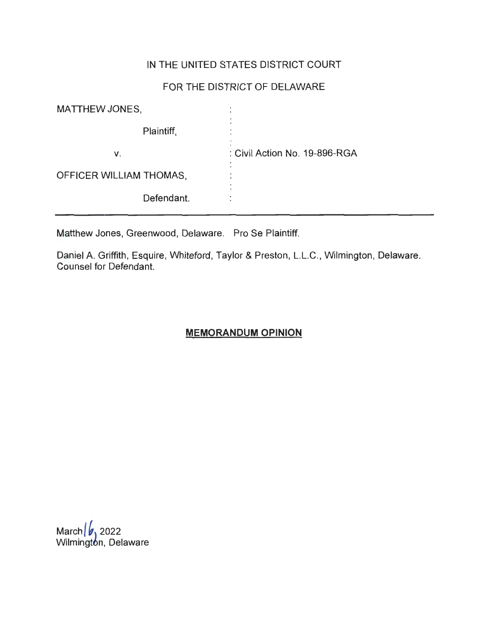## IN THE UNITED STATES DISTRICT COURT

# FOR THE DISTRICT OF DELAWARE

| MATTHEW JONES,          |                               |
|-------------------------|-------------------------------|
| Plaintiff,              |                               |
| V.                      | : Civil Action No. 19-896-RGA |
| OFFICER WILLIAM THOMAS, | $\bullet$                     |
| Defendant.              |                               |

Matthew Jones, Greenwood, Delaware. Pro Se Plaintiff.

Daniel A. Griffith, Esquire, Whiteford, Taylor & Preston, L.L.C. , Wilmington, Delaware. Counsel for Defendant.

# **MEMORANDUM OPINION**

March *b* 2022 Wilmingt**o**n, Delaware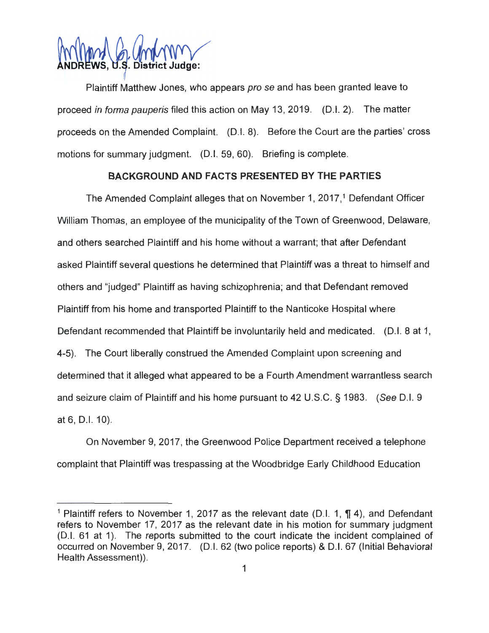

Plaintiff Matthew Jones, who appears pro se and has been granted leave to proceed in forma pauperis filed this action on May 13, 2019. (D.I. 2). The matter proceeds on the Amended Complaint. (D.I. 8). Before the Court are the parties' cross motions for summary judgment. (D.I. 59, 60). Briefing is complete.

### **BACKGROUND AND FACTS PRESENTED BY THE PARTIES**

The Amended Complaint alleges that on November 1, 2017,<sup>1</sup> Defendant Officer William Thomas, an employee of the municipality of the Town of Greenwood, Delaware, and others searched Plaintiff and his home without a warrant; that after Defendant asked Plaintiff several questions he determined that Plaintiff was a threat to himself and others and "judged" Plaintiff as having schizophrenia; and that Defendant removed Plaintiff from his home and transported Plaintiff to the Nanticoke Hospital where Defendant recommended that Plaintiff be involuntarily held and medicated. (D.I. 8 at 1, 4-5). The Court liberally construed the Amended Complaint upon screening and determined that it alleged what appeared to be a Fourth Amendment warrantless search and seizure claim of Plaintiff and his home pursuant to 42 U.S.C. § 1983. (See D.I. 9 at 6, D.I. 10).

On November 9, 2017, the Greenwood Police Department received a telephone complaint that Plaintiff was trespassing at the Woodbridge Early Childhood Education

<sup>&</sup>lt;sup>1</sup> Plaintiff refers to November 1, 2017 as the relevant date (D.I. 1,  $\P$  4), and Defendant refers to November 17, 2017 as the relevant date in his motion for summary judgment (D.I. 61 at 1). The reports submitted to the court indicate the incident complained of occurred on November 9, 2017. (D.I. 62 (two police reports) & D.I. 67 (Initial Behavioral Health Assessment)).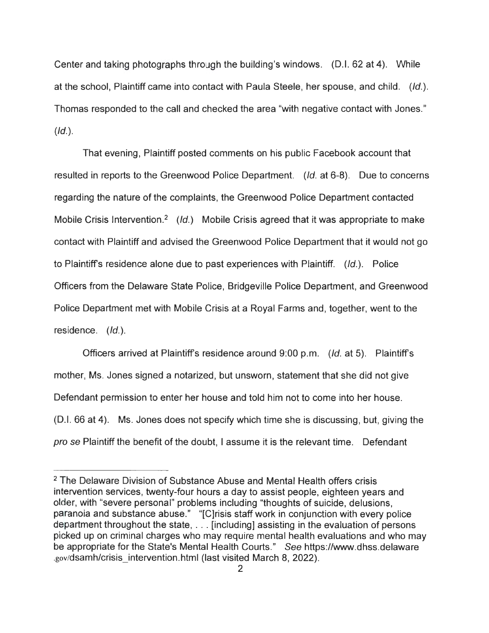Center and taking photographs through the building's windows. (D.I. 62 at 4). While at the school, Plaintiff came into contact with Paula Steele, her spouse, and child. (Id.). Thomas responded to the call and checked the area "with negative contact with Jones."  $(Id.).$ 

That evening , Plaintiff posted comments on his public Facebook account that resulted in reports to the Greenwood Police Department. (Id. at 6-8). Due to concerns regarding the nature of the complaints, the Greenwood Police Department contacted Mobile Crisis Intervention.<sup>2</sup> (Id.) Mobile Crisis agreed that it was appropriate to make contact with Plaintiff and advised the Greenwood Police Department that it would not go to Plaintiff's residence alone due to past experiences with Plaintiff.  $(Id.)$ . Police Officers from the Delaware State Police, Bridgeville Police Department, and Greenwood Police Department met with Mobile Crisis at a Royal Farms and, together, went to the residence. (Id.).

Officers arrived at Plaintiffs residence around 9:00 p.m. (Id. at 5). Plaintiffs mother, Ms. Jones signed a notarized, but unsworn, statement that she did not give Defendant permission to enter her house and told him not to come into her house. (D.I. 66 at 4). Ms. Jones does not specify which time she is discussing, but, giving the pro se Plaintiff the benefit of the doubt, I assume it is the relevant time. Defendant

<sup>&</sup>lt;sup>2</sup> The Delaware Division of Substance Abuse and Mental Health offers crisis intervention services, twenty-four hours a day to assist people, eighteen years and older, with "severe personal" problems including "thoughts of suicide, delusions, paranoia and substance abuse." "[C]risis staff work in conjunction with every police department throughout the state, . .. [including] assisting in the evaluation of persons picked up on criminal charges who may require mental health evaluations and who may be appropriate for the State's Mental Health Courts." See https://www.dhss.delaware .gov/dsamh/crisis\_intervention.html (last visited March 8, 2022).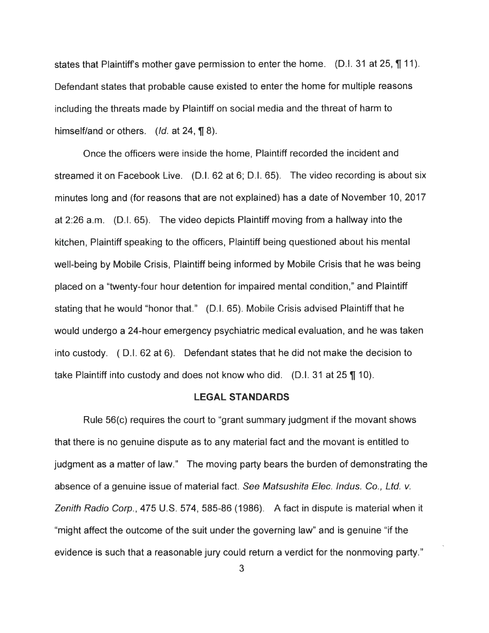states that Plaintiff's mother gave permission to enter the home. (D.I. 31 at 25, **\metall**). Defendant states that probable cause existed to enter the home for multiple reasons including the threats made by Plaintiff on social media and the threat of harm to himself/and or others.  $(Id.$  at 24,  $\P$  8).

Once the officers were inside the home, Plaintiff recorded the incident and streamed it on Facebook Live. (D.I. 62 at 6; 0 .1. 65). The video recording is about six minutes long and (for reasons that are not explained) has a date of November 10, 2017 at 2:26 a.m. (D.I. 65). The video depicts Plaintiff moving from a hallway into the kitchen, Plaintiff speaking to the officers, Plaintiff being questioned about his mental well-being by Mobile Crisis, Plaintiff being informed by Mobile Crisis that he was being placed on a "twenty-four hour detention for impaired mental condition," and Plaintiff stating that he would "honor that." (D.I. 65). Mobile Crisis advised Plaintiff that he would undergo a 24-hour emergency psychiatric medical evaluation, and he was taken into custody. ( D.I. 62 at 6). Defendant states that he did not make the decision to take Plaintiff into custody and does not know who did.  $(D.l. 31$  at  $25$  **\i** 10).

#### **LEGAL STANDARDS**

Rule 56(c) requires the court to "grant summary judgment if the movant shows that there is no genuine dispute as to any material fact and the movant is entitled to judgment as a matter of law." The moving party bears the burden of demonstrating the absence of a genuine issue of material fact. See Matsushita Elec. Indus. Co., Ltd. v. Zenith Radio Corp., 475 U.S. 574, 585-86 (1986). A fact in dispute is material when it "might affect the outcome of the suit under the governing law" and is genuine "if the evidence is such that a reasonable jury could return a verdict for the nonmoving party."

3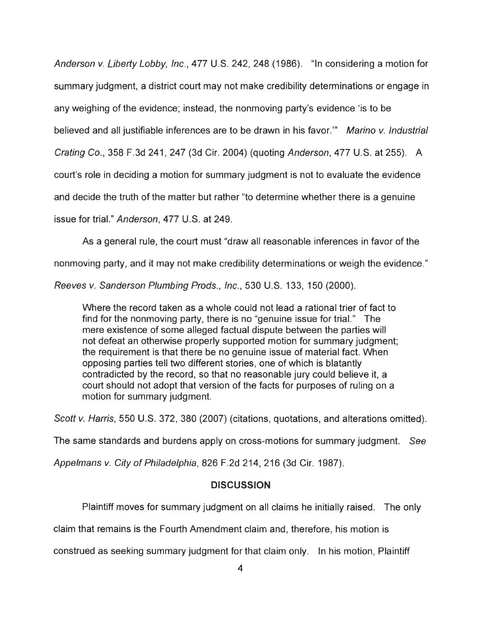Anderson v. Liberty Lobby, Inc., 477 U.S. 242, 248 (1986). "In considering a motion for summary judgment, a district court may not make credibility determinations or engage in any weighing of the evidence; instead, the nonmoving party's evidence 'is to be believed and all justifiable inferences are to be drawn in his favor."" Marino v. Industrial Crating Co., 358 F.3d 241, 247 (3d Cir. 2004) (quoting Anderson, 477 U.S. at 255). A court's role in deciding a motion for summary judgment is not to evaluate the evidence and decide the truth of the matter but rather "to determine whether there is a genuine issue for trial." Anderson, 477 U.S. at 249.

As a general rule, the court must "draw all reasonable inferences in favor of the

nonmoving party, and it may not make credibility determinations or weigh the evidence."

Reeves v. Sanderson Plumbing Prods., Inc., 530 U.S. 133, 150 (2000).

Where the record taken as a whole could not lead a rational trier of fact to find for the nonmoving party, there is no "genuine issue for trial." The mere existence of some alleged factual dispute between the parties will not defeat an otherwise properly supported motion for summary judgment; the requirement is that there be no genuine issue of material fact. When opposing parties tell two different stories, one of which is blatantly contradicted by the record, so that no reasonable jury could believe it, a court should not adopt that version of the facts for purposes of ruling on a motion for summary judgment.

Scott v. Harris, 550 U.S. 372, 380 (2007) (citations, quotations, and alterations omitted).

The same standards and burdens apply on cross-motions for summary judgment. See

Appelmans v. City of Philadelphia, 826 F.2d 214, 216 (3d Cir. 1987).

#### **DISCUSSION**

Plaintiff moves for summary judgment on all claims he initially raised. The only

claim that remains is the Fourth Amendment claim and, therefore, his motion is

construed as seeking summary judgment for that claim only. In his motion, Plaintiff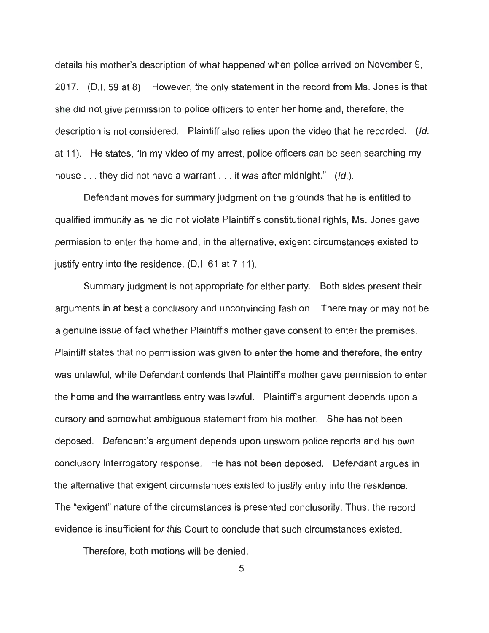details his mother's description of what happened when police arrived on November 9, 2017. (D.I. 59 at 8). However, the only statement in the record from Ms. Jones is that she did not give permission to police officers to enter her home and, therefore, the description is not considered. Plaintiff also relies upon the video that he recorded. (Id. at 11). He states, "in my video of my arrest, police officers can be seen searching my house ... they did not have a warrant ... it was after midnight." (Id.).

Defendant moves for summary judgment on the grounds that he is entitled to qualified immunity as he did not violate Plaintiffs constitutional rights, Ms. Jones gave permission to enter the home and, in the alternative, exigent circumstances existed to justify entry into the residence. (D.I. 61 at 7-11).

Summary judgment is not appropriate for either party. Both sides present their arguments in at best a conclusory and unconvincing fashion. There may or may not be a genuine issue of fact whether Plaintiffs mother gave consent to enter the premises. Plaintiff states that no permission was given to enter the home and therefore, the entry was unlawful, while Defendant contends that Plaintiffs mother gave permission to enter the home and the warrantless entry was lawful. Plaintiffs argument depends upon a cursory and somewhat ambiguous statement from his mother. She has not been deposed. Defendant's argument depends upon unsworn police reports and his own conclusory Interrogatory response. He has not been deposed. Defendant argues in the alternative that exigent circumstances existed to justify entry into the residence. The "exigent" nature of the circumstances is presented conclusorily. Thus, the record evidence is insufficient for this Court to conclude that such circumstances existed.

Therefore, both motions will be denied.

5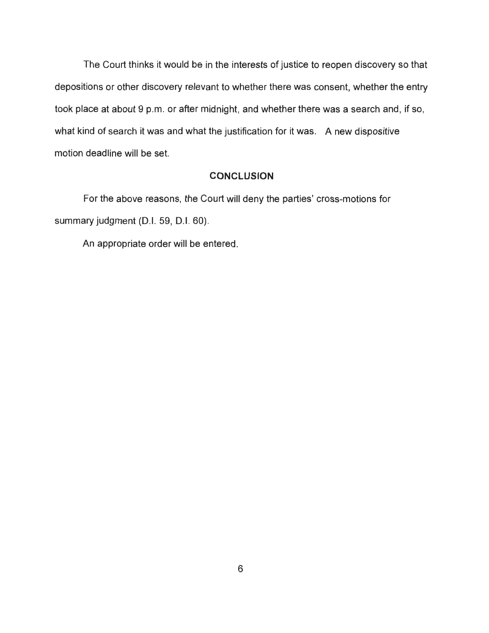The Court thinks it would be in the interests of justice to reopen discovery so that depositions or other discovery relevant to whether there was consent, whether the entry took place at about 9 p.m. or after midnight, and whether there was a search and, if so, what kind of search it was and what the justification for it was. A new dispositive motion deadline will be set.

#### **CONCLUSION**

For the above reasons, the Court will deny the parties' cross-motions for summary judgment (D.I. 59, D.I. 60).

An appropriate order will be entered.